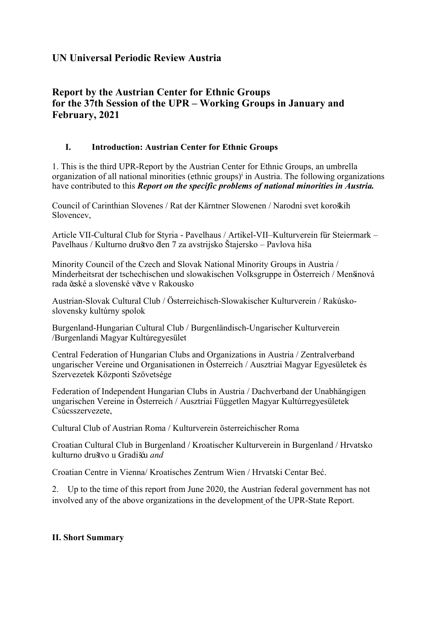# **UN Universal Periodic Review Austria**

# **Report by the Austrian Center for Ethnic Groups for the 37th Session of the UPR – Working Groups in January and February, 2021**

# **I. Introduction: Austrian Center for Ethnic Groups**

1. This is the third UPR-Report by the Austrian Center for Ethnic Groups, an umbrella organization of all national minorities (ethnic groups)<sup>i</sup> in Austria. The following organizations have contributed to this *Report on the specific problems of national minorities in Austria.*

Council of Carinthian Slovenes / Rat der Kärntner Slowenen / Narodni svet koroških Slovencev,

Article VII-Cultural Club for Styria - Pavelhaus / Artikel-VII–Kulturverein für Steiermark – Pavelhaus / Kulturno društvo <sup>č</sup>len <sup>7</sup> za avstrijsko Štajersko – Pavlova hiš<sup>a</sup>

Minority Council of the Czech and Slovak National Minority Groups in Austria / Minderheitsrat der tschechischen und slowakischen Volksgruppe in Österreich / Menšinová rada české <sup>a</sup> slovenské <sup>v</sup>ětve <sup>v</sup> Rakousko

Austrian-Slovak Cultural Club / Österreichisch-Slowakischer Kulturverein / Rakúskoslovensky kultúrny spolok

Burgenland-Hungarian Cultural Club / Burgenländisch-Ungarischer Kulturverein /Burgenlandi Magyar Kultúregyesület

Central Federation of Hungarian Clubs and Organizations in Austria / Zentralverband ungarischer Vereine und Organisationen in Österreich / Ausztriai Magyar Egyesületek és Szervezetek Központi Szövetsége

Federation of Independent Hungarian Clubs in Austria / Dachverband der Unabhängigen ungarischen Vereine in Österreich / Ausztriai Független Magyar Kultúrregyesületek Csúcsszervezete,

Cultural Club of Austrian Roma / Kulturverein österreichischer Roma

Croatian Cultural Club in Burgenland / Kroatischer Kulturverein in Burgenland / Hrvatsko kulturno društvo <sup>u</sup> Gradišć<sup>u</sup> *and*

Croatian Centre in Vienna/ Kroatisches Zentrum Wien / Hrvatski Centar Beć.

2. Up to the time of this repor<sup>t</sup> from June 2020, the Austrian federal governmen<sup>t</sup> has not involved any of the above organizations in the development of the UPR-State Report.

# **II. Short Summary**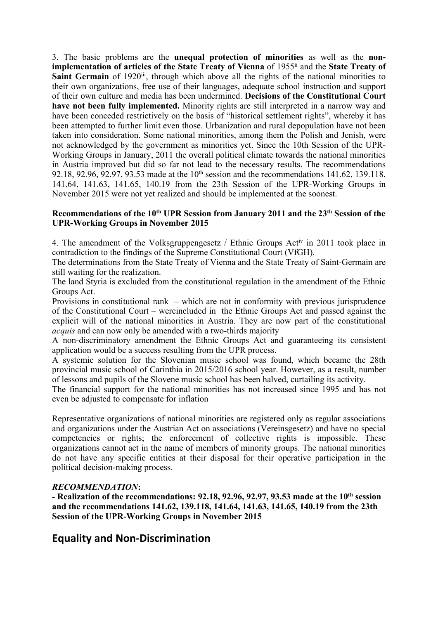3. The basic problems are the **unequal protection of minorities** as well as the **nonimplementation of articles of the State Treaty of Vienna** of 1955ii and the **State Treaty of Saint Germain** of 1920<sup>iii</sup>, through which above all the rights of the national minorities to their own organizations, free use of their languages, adequate school instruction and suppor<sup>t</sup> of their own culture and media has been undermined. **Decisions of the Constitutional Court have not been fully implemented.** Minority rights are still interpreted in <sup>a</sup> narrow way and have been conceded restrictively on the basis of "historical settlement rights", whereby it has been attempted to further limit even those. Urbanization and rural depopulation have not been taken into consideration. Some national minorities, among them the Polish and Jenish, were not acknowledged by the governmen<sup>t</sup> as minorities yet. Since the 10th Session of the UPR-Working Groups in January, 2011 the overall political climate towards the national minorities in Austria improved but did so far not lead to the necessary results. The recommendations 92.18, 92.96, 92.97, 93.53 made at the  $10<sup>th</sup>$  session and the recommendations 141.62, 139.118, 141.64, 141.63, 141.65, 140.19 from the 23th Session of the UPR-Working Groups in November 2015 were not ye<sup>t</sup> realized and should be implemented at the soonest.

### **Recommendations of the 10th UPR Session from January 2011 and the 23th Session of the UPR-Working Groups in November 2015**

4. The amendment of the Volksgruppengesetz / Ethnic Groups Act<sup>iv</sup> in 2011 took place in contradiction to the findings of the Supreme Constitutional Court (VfGH).

The determinations from the State Treaty of Vienna and the State Treaty of Saint-Germain are still waiting for the realization.

The land Styria is excluded from the constitutional regulation in the amendment of the Ethnic Groups Act.

Provisions in constitutional rank – which are not in conformity with previous jurisprudence of the Constitutional Court – wereincluded in the Ethnic Groups Act and passed against the explicit will of the national minorities in Austria. They are now par<sup>t</sup> of the constitutional *acquis* and can now only be amended with <sup>a</sup> two-thirds majority

A non-discriminatory amendment the Ethnic Groups Act and guaranteeing its consistent application would be <sup>a</sup> success resulting from the UPR process.

A systemic solution for the Slovenian music school was found, which became the 28th provincial music school of Carinthia in 2015/2016 school year. However, as <sup>a</sup> result, number of lessons and pupils of the Slovene music school has been halved, curtailing its activity.

The financial suppor<sup>t</sup> for the national minorities has not increased since 1995 and has not even be adjusted to compensate for inflation

Representative organizations of national minorities are registered only as regular associations and organizations under the Austrian Act on associations (Vereinsgesetz) and have no special competencies or rights; the enforcement of collective rights is impossible. These organizations cannot act in the name of members of minority groups. The national minorities do not have any specific entities at their disposal for their operative participation in the political decision-making process.

### *RECOMMENDATION***:**

**- Realization of the recommendations: 92.18, 92.96, 92.97, 93.53 made at the 10th session and the recommendations 141.62, 139.118, 141.64, 141.63, 141.65, 140.19 from the 23th Session of the UPR-Working Groups in November 2015**

# **Equality and Non-Discrimination**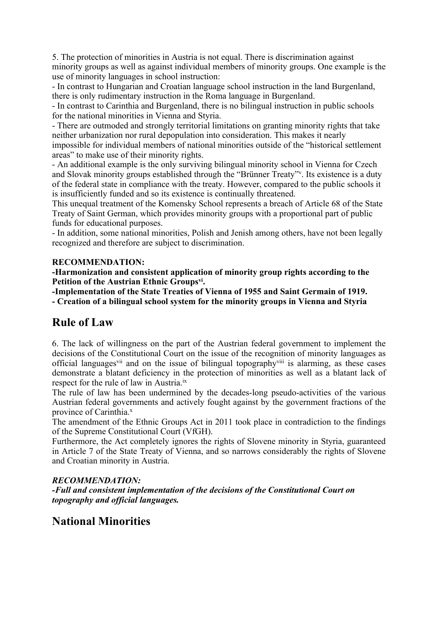5. The protection of minorities in Austria is not equal. There is discrimination against minority groups as well as against individual members of minority groups. One example is the use of minority languages in school instruction:

- In contrast to Hungarian and Croatian language school instruction in the land Burgenland, there is only rudimentary instruction in the Roma language in Burgenland.

- In contrast to Carinthia and Burgenland, there is no bilingual instruction in public schools for the national minorities in Vienna and Styria.

- There are outmoded and strongly territorial limitations on granting minority rights that take neither urbanization nor rural depopulation into consideration. This makes it nearly impossible for individual members of national minorities outside of the "historical settlement areas" to make use of their minority rights.

- An additional example is the only surviving bilingual minority school in Vienna for Czech and Slovak minority groups established through the "Brünner Treaty"<sup>v</sup> . Its existence is <sup>a</sup> duty of the federal state in compliance with the treaty. However, compared to the public schools it is insufficiently funded and so its existence is continually threatened.

This unequal treatment of the Komensky School represents <sup>a</sup> breach of Article 68 of the State Treaty of Saint German, which provides minority groups with <sup>a</sup> proportional par<sup>t</sup> of public funds for educational purposes.

- In addition, some national minorities, Polish and Jenish among others, have not been legally recognized and therefore are subject to discrimination.

### **RECOMMENDATION:**

**-Harmonization and consistent application of minority group rights according to the Petition of the Austrian Ethnic Groups vi .**

**-Implementation of the State Treaties of Vienna of 1955 and Saint Germain of 1919. - Creation of <sup>a</sup> bilingual school system for the minority groups in Vienna and Styria**

# **Rule of Law**

6. The lack of willingness on the par<sup>t</sup> of the Austrian federal governmen<sup>t</sup> to implement the decisions of the Constitutional Court on the issue of the recognition of minority languages as official languages<sup>vii</sup> and on the issue of bilingual topography<sup>viii</sup> is alarming, as these cases demonstrate <sup>a</sup> blatant deficiency in the protection of minorities as well as <sup>a</sup> blatant lack of respect for the rule of law in Austria.<sup>ix</sup>

The rule of law has been undermined by the decades-long pseudo-activities of the various Austrian federal governments and actively fought against by the governmen<sup>t</sup> fractions of the province of Carinthia.<sup>x</sup>

The amendment of the Ethnic Groups Act in 2011 took place in contradiction to the findings of the Supreme Constitutional Court (VfGH).

Furthermore, the Act completely ignores the rights of Slovene minority in Styria, guaranteed in Article 7 of the State Treaty of Vienna, and so narrows considerably the rights of Slovene and Croatian minority in Austria.

# *RECOMMENDATION:*

*-Full and consistent implementation of the decisions of the Constitutional Court on topography and official languages.*

# **National Minorities**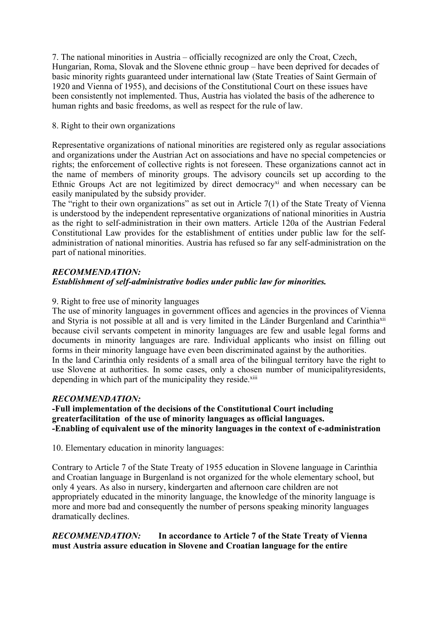7. The national minorities in Austria – officially recognized are only the Croat, Czech, Hungarian, Roma, Slovak and the Slovene ethnic group – have been deprived for decades of basic minority rights guaranteed under international law (State Treaties of Saint Germain of 1920 and Vienna of 1955), and decisions of the Constitutional Court on these issues have been consistently not implemented. Thus, Austria has violated the basis of the adherence to human rights and basic freedoms, as well as respec<sup>t</sup> for the rule of law.

### 8. Right to their own organizations

Representative organizations of national minorities are registered only as regular associations and organizations under the Austrian Act on associations and have no special competencies or rights; the enforcement of collective rights is not foreseen. These organizations cannot act in the name of members of minority groups. The advisory councils set up according to the Ethnic Groups Act are not legitimized by direct democracy<sup>xi</sup> and when necessary can be easily manipulated by the subsidy provider.

The "right to their own organizations" as set out in Article 7(1) of the State Treaty of Vienna is understood by the independent representative organizations of national minorities in Austria as the right to self-administration in their own matters. Article 120a of the Austrian Federal Constitutional Law provides for the establishment of entities under public law for the selfadministration of national minorities. Austria has refused so far any self-administration on the par<sup>t</sup> of national minorities.

### *RECOMMENDATION: Establishment of self-administrative bodies under public law for minorities.*

# 9. Right to free use of minority languages

The use of minority languages in governmen<sup>t</sup> offices and agencies in the provinces of Vienna and Styria is not possible at all and is very limited in the Länder Burgenland and Carinthiaxii because civil servants competent in minority languages are few and usable legal forms and documents in minority languages are rare. Individual applicants who insist on filling out forms in their minority language have even been discriminated against by the authorities. In the land Carinthia only residents of <sup>a</sup> small area of the bilingual territory have the right to use Slovene at authorities. In some cases, only <sup>a</sup> chosen number of municipalityresidents, depending in which part of the municipality they reside.<sup>xiii</sup>

# *RECOMMENDATION:*

### **-Full implementation of the decisions of the Constitutional Court including greaterfacilitation of the use of minority languages as official languages. -Enabling of equivalent use of the minority languages in the context of e-administration**

10. Elementary education in minority languages:

Contrary to Article 7 of the State Treaty of 1955 education in Slovene language in Carinthia and Croatian language in Burgenland is not organized for the whole elementary school, but only 4 years. As also in nursery, kindergarten and afternoon care children are not appropriately educated in the minority language, the knowledge of the minority language is more and more bad and consequently the number of persons speaking minority languages dramatically declines.

### *RECOMMENDATION:* **In accordance to Article 7 of the State Treaty of Vienna must Austria assure education in Slovene and Croatian language for the entire**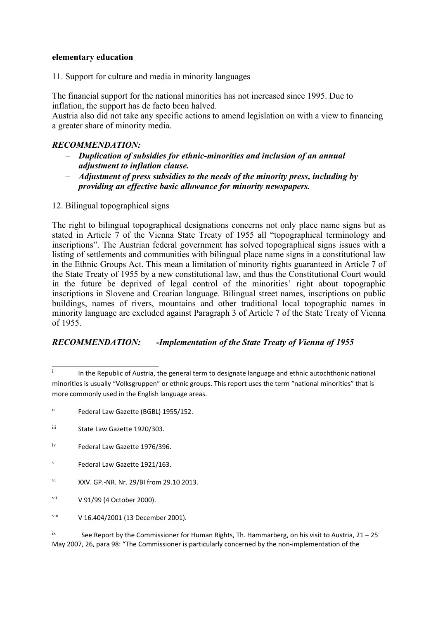### **elementary education**

11. Support for culture and media in minority languages

The financial suppor<sup>t</sup> for the national minorities has not increased since 1995. Due to inflation, the suppor<sup>t</sup> has de facto been halved.

Austria also did not take any specific actions to amend legislation on with <sup>a</sup> view to financing <sup>a</sup> greater share of minority media.

### *RECOMMENDATION:*

- *Duplication of subsidies for ethnic-minorities and inclusion of an annual adjustment to inflation clause.*
- *Adjustment of press subsidies to the needs of the minority press, including by providing an effective basic allowance for minority newspapers.*
- 12. Bilingual topographical signs

The right to bilingual topographical designations concerns not only place name signs but as stated in Article 7 of the Vienna State Treaty of 1955 all "topographical terminology and inscriptions". The Austrian federal governmen<sup>t</sup> has solved topographical signs issues with <sup>a</sup> listing of settlements and communities with bilingual place name signs in <sup>a</sup> constitutional law in the Ethnic Groups Act. This mean <sup>a</sup> limitation of minority rights guaranteed in Article 7 of the State Treaty of 1955 by <sup>a</sup> new constitutional law, and thus the Constitutional Court would in the future be deprived of legal control of the minorities' right about topographic inscriptions in Slovene and Croatian language. Bilingual street names, inscriptions on public buildings, names of rivers, mountains and other traditional local topographic names in minority language are excluded against Paragraph 3 of Article 7 of the State Treaty of Vienna of 1955.

# *RECOMMENDATION: -Implementation of the State Treaty of Vienna of 1955*

ii Federal Law Gazette (BGBL) 1955/152.

- v Federal Law Gazette 1921/163.
- vi XXV. GP.-NR. Nr. 29/BI from 29.10 2013.
- vii V 91/99 (4 October 2000).
- viii V 16.404/2001 (13 December 2001).

ix See Report by the Commissioner for Human Rights, Th. Hammarberg, on his visit to Austria, 21 – 25 May 2007, 26, para 98: "The Commissioner is particularly concerned by the non-implementation of the

i In the Republic of Austria, the general term to designate language and ethnic autochthonic national minorities is usually "Volksgruppen" or ethnic groups. This report uses the term "national minorities" that is more commonly used in the English language areas.

iii State Law Gazette 1920/303.

iv Federal Law Gazette 1976/396.